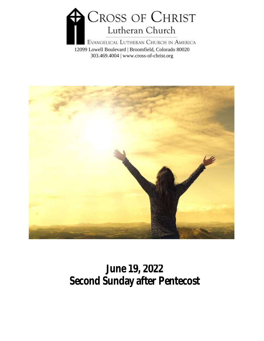

12099 Lowell Boulevard | Broomfield, Colorado 80020 303.469.4004 | www.cross-of-christ.org



# **June 19, 2022 Second Sunday after Pentecost**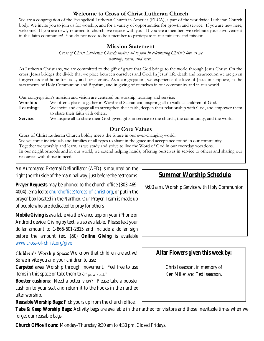#### **Welcome to Cross of Christ Lutheran Church**

We are a congregation of the Evangelical Lutheran Church in America (ELCA), a part of the worldwide Lutheran Church body. We invite you to join us for worship, and for a variety of opportunities for growth and service. If you are new here, welcome! If you are newly returned to church, we rejoice with you! If you are a member, we celebrate your involvement in this faith community! You do not need to be a member to participate in our ministry and mission.

#### **Mission Statement**

*Cross of Christ Lutheran Church invites all to join in celebrating Christ's love as we worship, learn, and serve.*

As Lutheran Christians, we are committed to the gift of grace that God brings to the world through Jesus Christ. On the cross, Jesus bridges the divide that we place between ourselves and God. In Jesus' life, death and resurrection we are given forgiveness and hope for today and for eternity. As a congregation, we experience the love of Jesus in scripture, in the sacraments of Holy Communion and Baptism, and in giving of ourselves in our community and in our world.

Our congregation's mission and vision are centered on worship, learning and service:

**Worship:** We offer a place to gather in Word and Sacrament, inspiring all to walk as children of God.

**Learning:** We invite and engage all to strengthen their faith, deepen their relationship with God, and empower them to share their faith with others.

Service: We inspire all to share their God-given gifts in service to the church, the community, and the world.

#### **Our Core Values**

Cross of Christ Lutheran Church boldly meets the future in our ever-changing world. We welcome individuals and families of all types to share in the grace and acceptance found in our community. Together we worship and learn, as we study and strive to live the Word of God in our everyday vocations. In our neighborhoods and in our world, we extend helping hands, offering ourselves in service to others and sharing our resources with those in need.

An Automated External Defibrillator (AED) is mounted on the right (north) side of the main hallway, just before the restrooms.

**Prayer Requests** may be phoned to the church office (303-469- 4004), emailed t[o churchoffice@cross-of-christ.org,](mailto:churchoffice@cross-of-christ.org) or put in the prayer box located in the Narthex. Our Prayer Team is made up of people who are dedicated to pray for others

**Mobile Giving** is available via the Vanco app on your iPhone or Android device. Giving by text is also available. Please text your dollar amount to 1-866-601-2815 and include a dollar sign before the amount (ex. \$50) **Online Giving** is available [www.cross-of-christ.org/give](http://www.cross-of-christ.org/give)

Children's Worship Space: We know that children are active! So we invite you and your children to use:

**Carpeted area**: Worship through movement. Feel free to use items in this space or take them to a "pew seat."

**Booster cushions**: Need a better view? Please take a booster cushion to your seat and return it to the hooks in the narthex after worship.

**Reusable Worship Bags**: Pick yours up from the church office.

**Take & Keep Worship Bags:** Activity bags are available in the narthex for visitors and those inevitable times when we forget our reusable bags.

**Church Office Hours**: Monday-Thursday 9:30 am to 4:30 pm. Closed Fridays.

**Summer Worship Schedule**

9:00 a.m. Worship Service with Holy Communion

**Altar Flowers given this week by:**

Chris Isaacson, in memory of Ken Miller and Ted Isaacson.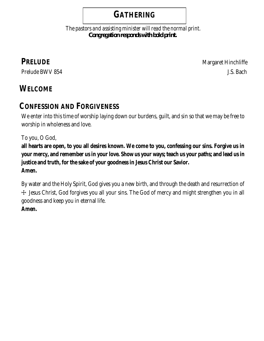#### **GATHERING**

 *The pastors and assisting minister will read the normal print. Congregation responds with bold print.*

**PRELUDE** Margaret Hinchliffe Prelude BWV 854 J.S. Bach

## **WELCOME**

#### **CONFESSION AND FORGIVENESS**

We enter into this time of worship laying down our burdens, quilt, and sin so that we may be free to worship in wholeness and love.

To you, O God,

**all hearts are open, to you all desires known. We come to you, confessing our sins. Forgive us in your mercy, and remember us in your love. Show us your ways; teach us your paths; and lead us in justice and truth, for the sake of your goodness in Jesus Christ our Savior. Amen.**

By water and the Holy Spirit, God gives you a new birth, and through the death and resurrection of ☩ Jesus Christ, God forgives you all your sins. The God of mercy and might strengthen you in all goodness and keep you in eternal life. **Amen.**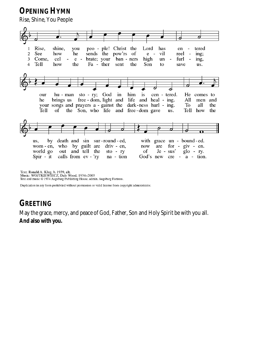**OPENING HYMN**

Rise, Shine, You People



Text: Ronald A. Klug, b. 1939, alt.<br>Music: WOJTKIEWIECZ, Dale Wood, 1934–2003<br>Text and music © 1974 Augsburg Publishing House, admin. Augsburg Fortress.

Duplication in any form prohibited without permission or valid license from copyright administrator.

#### **GREETING**

May the grace, mercy, and peace of God, Father, Son and Holy Spirit be with you all. **And also with you.**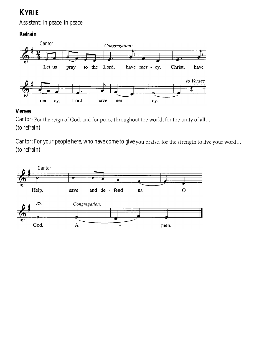#### **KYRIE**

Assistant: In peace, in peace,

**Refrain**



#### **Verses**

Cantor: For the reign of God, and for peace throughout the world, for the unity of all... (to refrain)

Cantor: For your people here, who have come to give you praise, for the strength to live your word... (to refrain)

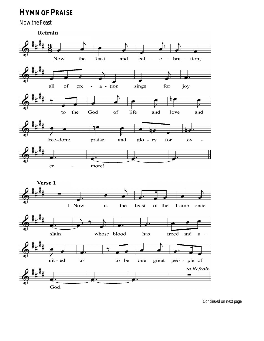#### **HYMN OF PRAISE**

Now the Feast

Refrain



Continued on next page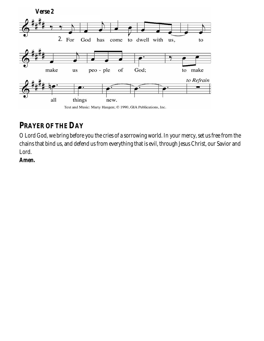

#### **PRAYER OF THE DAY**

O Lord God, we bring before you the cries of a sorrowing world. In your mercy, set us free from the chains that bind us, and defend us from everything that is evil, through Jesus Christ, our Savior and Lord.

**Amen.**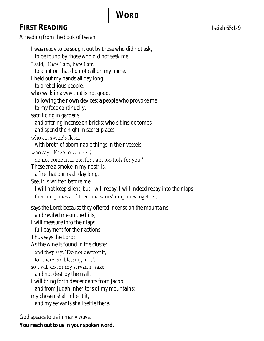# **WORD**

# FIRST READING **CONSERVERS** Isaiah 65:1-9

A reading from the book of Isaiah.

| I was ready to be sought out by those who did not ask,                                                                                      |  |
|---------------------------------------------------------------------------------------------------------------------------------------------|--|
| to be found by those who did not seek me.<br>I said, 'Here I am, here I am',                                                                |  |
| to a nation that did not call on my name.                                                                                                   |  |
| I held out my hands all day long                                                                                                            |  |
| to a rebellious people,                                                                                                                     |  |
| who walk in a way that is not good,                                                                                                         |  |
| following their own devices; a people who provoke me                                                                                        |  |
| to my face continually,                                                                                                                     |  |
| sacrificing in gardens                                                                                                                      |  |
| and offering incense on bricks; who sit inside tombs,                                                                                       |  |
| and spend the night in secret places;                                                                                                       |  |
| who eat swine's flesh,                                                                                                                      |  |
| with broth of abominable things in their vessels;                                                                                           |  |
| who say, 'Keep to yourself,                                                                                                                 |  |
| do not come near me, for I am too holy for you.'                                                                                            |  |
| These are a smoke in my nostrils,                                                                                                           |  |
| a fire that burns all day long.                                                                                                             |  |
| See, it is written before me:                                                                                                               |  |
| I will not keep silent, but I will repay; I will indeed repay into their laps<br>their iniquities and their ancestors' iniquities together, |  |
|                                                                                                                                             |  |
| says the Lord; because they offered incense on the mountains                                                                                |  |
| and reviled me on the hills,                                                                                                                |  |
| I will measure into their laps                                                                                                              |  |
| full payment for their actions.                                                                                                             |  |
| Thus says the Lord:                                                                                                                         |  |
| As the wine is found in the cluster,                                                                                                        |  |
| and they say, 'Do not destroy it,                                                                                                           |  |
| for there is a blessing in it',<br>so I will do for my servants' sake,                                                                      |  |
| and not destroy them all.                                                                                                                   |  |
| I will bring forth descendants from Jacob,                                                                                                  |  |
| and from Judah inheritors of my mountains;                                                                                                  |  |
| my chosen shall inherit it,                                                                                                                 |  |
| and my servants shall settle there.                                                                                                         |  |
|                                                                                                                                             |  |

God speaks to us in many ways. **You reach out to us in your spoken word.**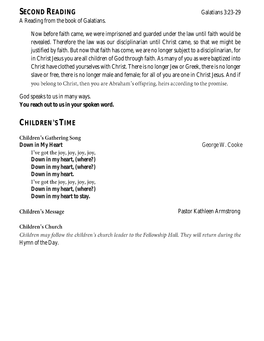#### **SECOND READING** Galatians 3:23-29

A Reading from the book of Galatians.

Now before faith came, we were imprisoned and guarded under the law until faith would be revealed. Therefore the law was our disciplinarian until Christ came, so that we might be justified by faith. But now that faith has come, we are no longer subject to a disciplinarian, for in Christ Jesus you are all children of God through faith. As many of you as were baptized into Christ have clothed yourselves with Christ. There is no longer Jew or Greek, there is no longer slave or free, there is no longer male and female; for all of you are one in Christ Jesus. And if you belong to Christ, then you are Abraham's offspring, heirs according to the promise.

God speaks to us in many ways. **You reach out to us in your spoken word.**

#### **CHILDREN S TIME**

#### **Children's Gathering Song**

**Down in My Heart**  George W. Cooke

I've got the joy, joy, joy, joy, **Down in my heart, (where?) Down in my heart, (where?) Down in my heart.** I've got the joy, joy, joy, joy,

**Down in my heart, (where?) Down in my heart to stay.**

#### Children's Message

#### Children's Church

Children may follow the children's church leader to the Fellowship Hall. They will return during the *Hymn of the Day*.

Pastor Kathleen Armstrong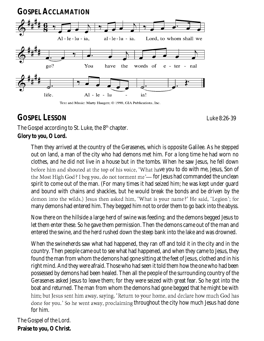

Text and Music: Marty Haugen; © 1990, GIA Publications, Inc.

#### **GOSPEL LESSON** Luke 8:26-39

The Gospel according to St. Luke, the 8<sup>th</sup> chapter. **Glory to you, O Lord.**

> Then they arrived at the country of the Gerasenes, which is opposite Galilee. As he stepped out on land, a man of the city who had demons met him. For a long time he had worn no clothes, and he did not live in a house but in the tombs. When he saw Jesus, he fell down before him and shouted at the top of his voice, 'What have you to do with me, Jesus, Son of the Most High God? I beg you, do not torment me'— for Jesus had commanded the unclean spirit to come out of the man. (For many times it had seized him; he was kept under guard and bound with chains and shackles, but he would break the bonds and be driven by the demon into the wilds.) Jesus then asked him, 'What is your name?' He said, 'Legion'; for many demons had entered him. They begged him not to order them to go back into the abyss.

> Now there on the hillside a large herd of swine was feeding; and the demons begged Jesus to let them enter these. So he gave them permission. Then the demons came out of the man and entered the swine, and the herd rushed down the steep bank into the lake and was drowned.

> When the swineherds saw what had happened, they ran off and told it in the city and in the country. Then people came out to see what had happened, and when they came to Jesus, they found the man from whom the demons had gone sitting at the feet of Jesus, clothed and in his right mind. And they were afraid. Those who had seen it told them how the one who had been possessed by demons had been healed. Then all the people of the surrounding country of the Gerasenes asked Jesus to leave them; for they were seized with great fear. So he got into the boat and returned. The man from whom the demons had gone begged that he might be with him; but Jesus sent him away, saying, 'Return to your home, and declare how much God has done for you.' So he went away, proclaiming throughout the city how much Jesus had done for him.

The Gospel of the Lord. **Praise to you, O Christ.**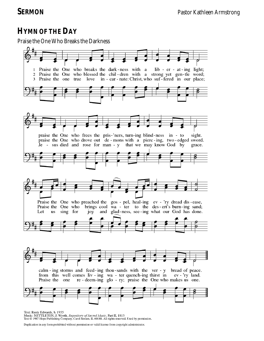#### **HYMN OF THE DAY**

Praise the One Who Breaks the Darkness



Text: Rusty Edwards, b. 1955<br>Music: NETTLETON, J. Wyeth, *Repository of Sacred Music*, Part II, 1813<br>Text © 1987 Hope Publishing Company, Carol Stream, IL 60188. All rights reserved. Used by permission.

Duplication in any form prohibited without permission or valid license from copyright administrator.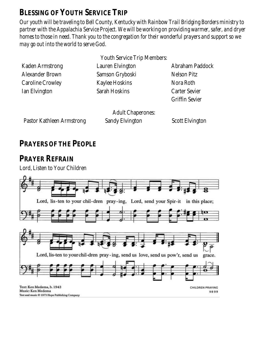#### **BLESSING OF YOUTH SERVICE TRIP**

*Our youth will be traveling to Bell County, Kentucky with Rainbow Trail Bridging Borders ministry to partner with the Appalachia Service Project. We will be working on providing warmer, safer, and dryer homes to those in need. Thank you to the congregation for their wonderful prayers and support so we may go out into the world to serve God*.

|                           | <b>Youth Service Trip Members:</b>          |                       |
|---------------------------|---------------------------------------------|-----------------------|
| Kaden Armstrong           | Lauren Elvington                            | Abraham Paddock       |
| Alexander Brown           | Samson Gryboski                             | Nelson Pitz           |
| Caroline Crowley          | Kaylee Hoskins                              | Nora Roth             |
| Ian Elvington             | Sarah Hoskins                               | Carter Sevier         |
|                           |                                             | <b>Griffin Sevier</b> |
| Pastor Kathleen Armstrong | <b>Adult Chaperones:</b><br>Sandy Elvington | Scott Elvington       |
|                           |                                             |                       |

#### **PRAYERS OF THE PEOPLE**

**PRAYER REFRAIN** Lord, Listen to Your Children

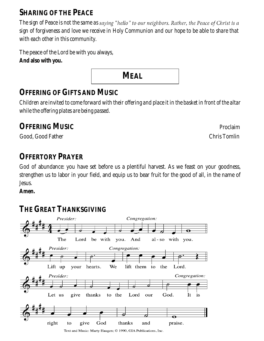#### **SHARING OF THE PEACE**

*The sign of Peace is not the same as sign of forgiveness and love we receive in Holy Communion and our hope to be able to share that with each other in this community.*

The peace of the Lord be with you always, **And also with you.**

## **OFFERING OF GIFTS AND MUSIC**

*Children are invited to come forward with their offering and place it in the basket in front of the altar while the offering plates are being passed.*

 **MEAL**

#### **OFFERING MUSIC** Proclaim

Good, Good Father Chris Tomlin

#### **OFFERTORY PRAYER**

God of abundance: you have set before us a plentiful harvest. As we feast on your goodness, strengthen us to labor in your field, and equip us to bear fruit for the good of all, in the name of Jesus.

**Amen.**

#### **THE GREAT THANKSGIVING**

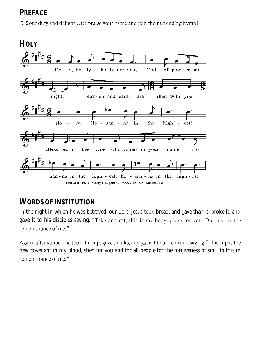#### **PREFACE**

It is our duty and delight...we praise your name and join their unending hymn:



#### **WORDS OF INSTITUTION**

In the night in which he was betrayed, our Lord Jesus took bread, and gave thanks; broke it, and gave it to his disciples saying, "Take and eat; this is my body, given for you. Do this for the remembrance of me."

Again, after supper, he took the cup, gave thanks, and gave it to all to drink, saying "This cup is the new covenant in my blood, shed for you and for all people for the forgiveness of sin. Do this in remembrance of me."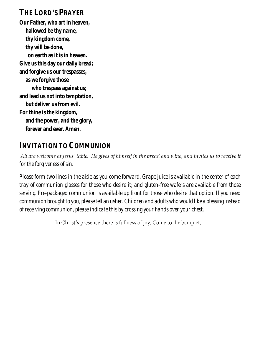# **THE LORD S PRAYER**

**Our Father, who art in heaven, hallowed be thy name, thy kingdom come, thy will be done, on earth as it is in heaven. Give us this day our daily bread; and forgive us our trespasses, as we forgive those who trespass against us; and lead us not into temptation, but deliver us from evil. For thine is the kingdom, and the power, and the glory, forever and ever. Amen.**

#### **INVITATION TO COMMUNION**

All are welcome at Jesus' table. He gives of himself in the bread and wine, and invites us to receive it *for the forgiveness of sin.* 

*Please form two lines in the aisle as you come forward. Grape juice is available in the center of each tray of communion glasses for those who desire it; and gluten-free wafers are available from those serving. Pre-packaged communion is available up front for those who desire that option. If you need communion brought to you, please tell an usher. Children and adults who would like a blessing instead of receiving communion, please indicate this by crossing your hands over your chest.*

In Christ's presence there is fullness of joy. Come to the banquet.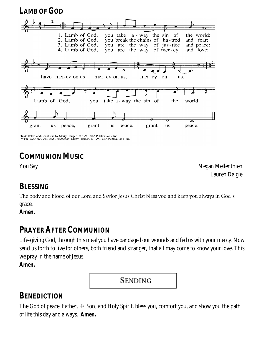**LAMB OF GOD**



Text: ICET; additional text by Marty Haugen, © 1990, GIA Publications, Inc.<br>Music: Now the Feast and Celebration, Marty Haugen, © 1990, GIA Publications, Inc.

### **COMMUNION MUSIC**

You Say **Megan Mellenthien** Lauren Daigle

#### **BLESSING**

The body and blood of our Lord and Savior Jesus Christ bless you and keep you always in God's grace.

**Amen.**

#### **PRAYER AFTER COMMUNION**

Life-giving God, through this meal you have bandaged our wounds and fed us with your mercy. Now send us forth to live for others, both friend and stranger, that all may come to know your love. This we pray in the name of Jesus.

**Amen.**

**SENDING** 

#### **BENEDICTION**

The God of peace, Father,  $\pm$  Son, and Holy Spirit, bless you, comfort you, and show you the path of life this day and always. **Amen.**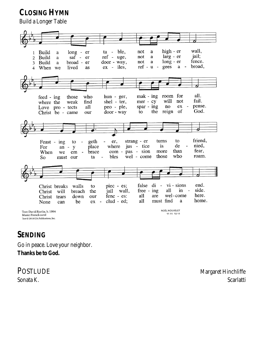**CLOSING HYMN** 

Build a Longer Table



#### **SENDING**

Go in peace. Love your neighbor. **Thanks be to God.** 

POSTLUDE Margaret Hinchliffe Sonata K. Scarlatti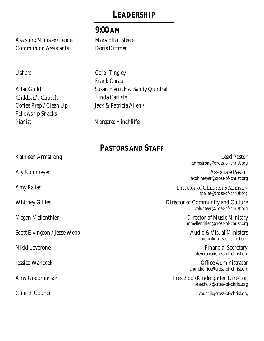#### **LEADERSHIP**

Assisting Minister/Reader Mary Ellen Steele Communion Assistants **Doris Dittmen** 

Children's Church Coffee Prep / Clean Up Jack & Patricia Allen / Fellowship Snacks Pianist Margaret Hinchliffe

# **9:00 AM**

Ushers Carol Tingley Frank Carau Altar Guild Susan Herrick & Sandy Quintrall Linda Carlisle

# **PASTORS AND STAFF**

Kathleen Armstrong **Lead Pastor** Aly Kohlmeyer **Associate Pastor** Associate Pastor Amy Pallas Megan Mellenthien **Director of Music Ministry** Scott Elvington / Jesse Webb Audio & Visual Ministers Nikki Leverone Financial Secretary Jessica Wanecek Office Administrator Amy Goodmanson Preschool/Kindergarten Director Church Council council@cross-of-christ.org

karmstrong@cross-of-christ.org

akohlmeyer@cross-of-christ.org

Director of Children's Ministry apallas@cross-of-christ.org

Whitney Gillies **Director of Community and Culture** volunteer@cross-of-christ.org

mmellenthien@cross-of-christ.org

sound@cross-of-christ.org

nleverone@cross-of-christ.org

churchoffice@cross-of-christ.org

preschool@cross-of-christ.org